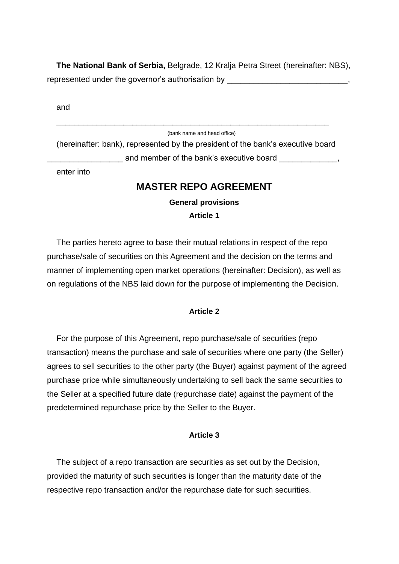**The National Bank of Serbia,** Belgrade, 12 Kralja Petra Street (hereinafter: NBS), represented under the governor's authorisation by \_\_\_\_\_\_\_\_\_\_\_\_\_\_\_\_\_\_\_\_\_\_\_\_\_\_\_\_\_,

and

#### (bank name and head office)

(hereinafter: bank), represented by the president of the bank's executive board and member of the bank's executive board

\_\_\_\_\_\_\_\_\_\_\_\_\_\_\_\_\_\_\_\_\_\_\_\_\_\_\_\_\_\_\_\_\_\_\_\_\_\_\_\_\_\_\_\_\_\_\_\_\_\_\_\_\_\_\_\_\_\_\_\_\_

enter into

### **MASTER REPO AGREEMENT**

# **General provisions**

**Article 1**

The parties hereto agree to base their mutual relations in respect of the repo purchase/sale of securities on this Agreement and the decision on the terms and manner of implementing open market operations (hereinafter: Decision), as well as on regulations of the NBS laid down for the purpose of implementing the Decision.

### **Article 2**

For the purpose of this Agreement, repo purchase/sale of securities (repo transaction) means the purchase and sale of securities where one party (the Seller) agrees to sell securities to the other party (the Buyer) against payment of the agreed purchase price while simultaneously undertaking to sell back the same securities to the Seller at a specified future date (repurchase date) against the payment of the predetermined repurchase price by the Seller to the Buyer.

#### **Article 3**

The subject of a repo transaction are securities as set out by the Decision, provided the maturity of such securities is longer than the maturity date of the respective repo transaction and/or the repurchase date for such securities.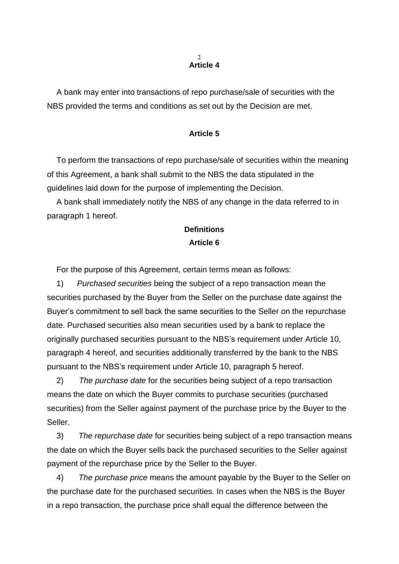#### $\mathcal{D}$ **Article 4**

A bank may enter into transactions of repo purchase/sale of securities with the NBS provided the terms and conditions as set out by the Decision are met.

#### **Article 5**

To perform the transactions of repo purchase/sale of securities within the meaning of this Agreement, a bank shall submit to the NBS the data stipulated in the guidelines laid down for the purpose of implementing the Decision.

A bank shall immediately notify the NBS of any change in the data referred to in paragraph 1 hereof.

## **Definitions Article 6**

For the purpose of this Agreement, certain terms mean as follows:

1) *Purchased securities* being the subject of a repo transaction mean the securities purchased by the Buyer from the Seller on the purchase date against the Buyer's commitment to sell back the same securities to the Seller on the repurchase date. Purchased securities also mean securities used by a bank to replace the originally purchased securities pursuant to the NBS's requirement under Article 10, paragraph 4 hereof, and securities additionally transferred by the bank to the NBS pursuant to the NBS's requirement under Article 10, paragraph 5 hereof.

2) *The purchase date* for the securities being subject of a repo transaction means the date on which the Buyer commits to purchase securities (purchased securities) from the Seller against payment of the purchase price by the Buyer to the Seller.

3) *The repurchase date* for securities being subject of a repo transaction means the date on which the Buyer sells back the purchased securities to the Seller against payment of the repurchase price by the Seller to the Buyer.

4) *The purchase price* means the amount payable by the Buyer to the Seller on the purchase date for the purchased securities. In cases when the NBS is the Buyer in a repo transaction, the purchase price shall equal the difference between the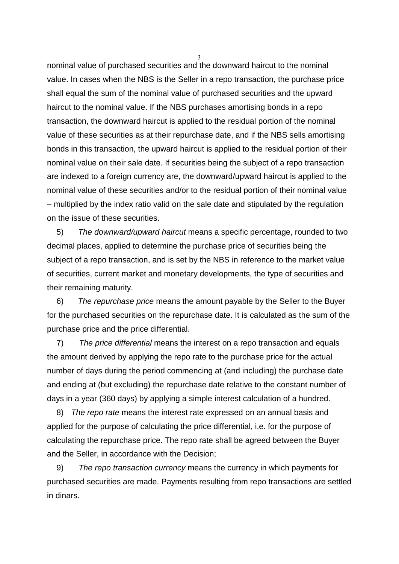nominal value of purchased securities and the downward haircut to the nominal value. In cases when the NBS is the Seller in a repo transaction, the purchase price shall equal the sum of the nominal value of purchased securities and the upward haircut to the nominal value. If the NBS purchases amortising bonds in a repo transaction, the downward haircut is applied to the residual portion of the nominal value of these securities as at their repurchase date, and if the NBS sells amortising bonds in this transaction, the upward haircut is applied to the residual portion of their nominal value on their sale date. If securities being the subject of a repo transaction are indexed to a foreign currency are, the downward/upward haircut is applied to the nominal value of these securities and/or to the residual portion of their nominal value – multiplied by the index ratio valid on the sale date and stipulated by the regulation on the issue of these securities.

5) *The downward/upward haircut* means a specific percentage, rounded to two decimal places, applied to determine the purchase price of securities being the subject of a repo transaction, and is set by the NBS in reference to the market value of securities, current market and monetary developments, the type of securities and their remaining maturity.

6) *The repurchase price* means the amount payable by the Seller to the Buyer for the purchased securities on the repurchase date. It is calculated as the sum of the purchase price and the price differential.

7) *The price differential* means the interest on a repo transaction and equals the amount derived by applying the repo rate to the purchase price for the actual number of days during the period commencing at (and including) the purchase date and ending at (but excluding) the repurchase date relative to the constant number of days in a year (360 days) by applying a simple interest calculation of a hundred.

8) *The repo rate* means the interest rate expressed on an annual basis and applied for the purpose of calculating the price differential, i.e. for the purpose of calculating the repurchase price. The repo rate shall be agreed between the Buyer and the Seller, in accordance with the Decision;

9) *The repo transaction currency* means the currency in which payments for purchased securities are made. Payments resulting from repo transactions are settled in dinars.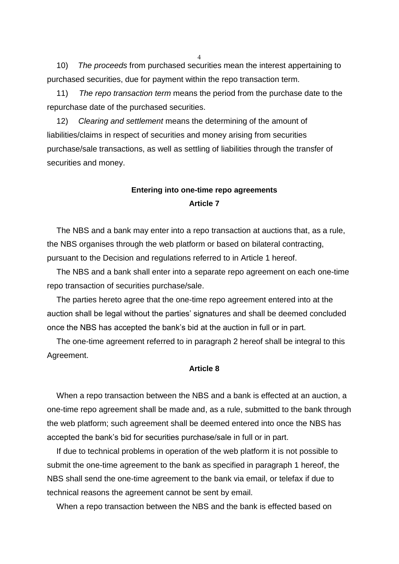10) *The proceeds* from purchased securities mean the interest appertaining to purchased securities, due for payment within the repo transaction term.

11) *The repo transaction term* means the period from the purchase date to the repurchase date of the purchased securities.

12) *Clearing and settlement* means the determining of the amount of liabilities/claims in respect of securities and money arising from securities purchase/sale transactions, as well as settling of liabilities through the transfer of securities and money.

## **Entering into one-time repo agreements Article 7**

The NBS and a bank may enter into a repo transaction at auctions that, as a rule, the NBS organises through the web platform or based on bilateral contracting, pursuant to the Decision and regulations referred to in Article 1 hereof.

The NBS and a bank shall enter into a separate repo agreement on each one-time repo transaction of securities purchase/sale.

The parties hereto agree that the one-time repo agreement entered into at the auction shall be legal without the parties' signatures and shall be deemed concluded once the NBS has accepted the bank's bid at the auction in full or in part.

The one-time agreement referred to in paragraph 2 hereof shall be integral to this Agreement.

#### **Article 8**

When a repo transaction between the NBS and a bank is effected at an auction, a one-time repo agreement shall be made and, as a rule, submitted to the bank through the web platform; such agreement shall be deemed entered into once the NBS has accepted the bank's bid for securities purchase/sale in full or in part.

If due to technical problems in operation of the web platform it is not possible to submit the one-time agreement to the bank as specified in paragraph 1 hereof, the NBS shall send the one-time agreement to the bank via email, or telefax if due to technical reasons the agreement cannot be sent by email.

When a repo transaction between the NBS and the bank is effected based on

 $\Delta$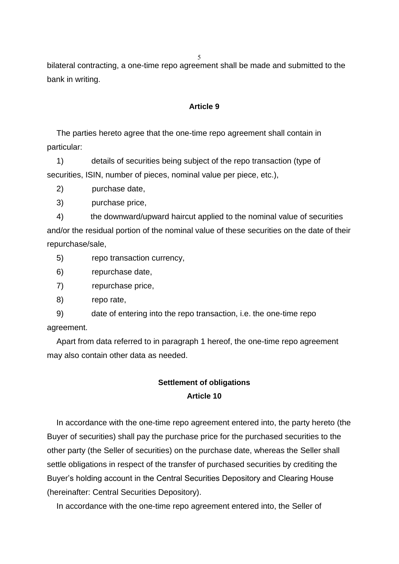5

bilateral contracting, a one-time repo agreement shall be made and submitted to the bank in writing.

#### **Article 9**

The parties hereto agree that the one-time repo agreement shall contain in particular:

1) details of securities being subject of the repo transaction (type of securities, ISIN, number of pieces, nominal value per piece, etc.),

2) purchase date,

3) purchase price,

4) the downward/upward haircut applied to the nominal value of securities and/or the residual portion of the nominal value of these securities on the date of their repurchase/sale,

5) repo transaction currency,

6) repurchase date,

7) repurchase price,

8) repo rate,

9) date of entering into the repo transaction, i.e. the one-time repo agreement.

Apart from data referred to in paragraph 1 hereof, the one-time repo agreement may also contain other data as needed.

## **Settlement of obligations Article 10**

In accordance with the one-time repo agreement entered into, the party hereto (the Buyer of securities) shall pay the purchase price for the purchased securities to the other party (the Seller of securities) on the purchase date, whereas the Seller shall settle obligations in respect of the transfer of purchased securities by crediting the Buyer's holding account in the Central Securities Depository and Clearing House (hereinafter: Central Securities Depository).

In accordance with the one-time repo agreement entered into, the Seller of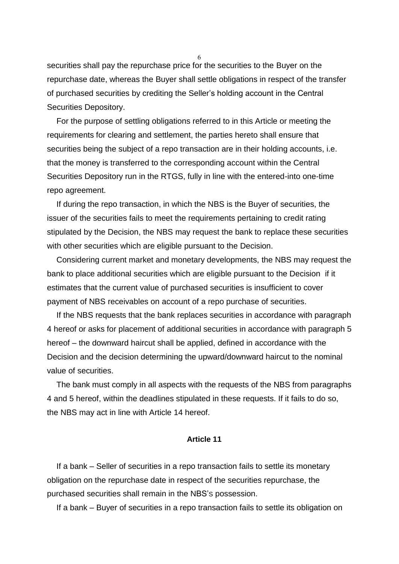securities shall pay the repurchase price for the securities to the Buyer on the repurchase date, whereas the Buyer shall settle obligations in respect of the transfer of purchased securities by crediting the Seller's holding account in the Central Securities Depository.

For the purpose of settling obligations referred to in this Article or meeting the requirements for clearing and settlement, the parties hereto shall ensure that securities being the subject of a repo transaction are in their holding accounts, i.e. that the money is transferred to the corresponding account within the Central Securities Depository run in the RTGS, fully in line with the entered-into one-time repo agreement.

If during the repo transaction, in which the NBS is the Buyer of securities, the issuer of the securities fails to meet the requirements pertaining to credit rating stipulated by the Decision, the NBS may request the bank to replace these securities with other securities which are eligible pursuant to the Decision.

Considering current market and monetary developments, the NBS may request the bank to place additional securities which are eligible pursuant to the Decision if it estimates that the current value of purchased securities is insufficient to cover payment of NBS receivables on account of a repo purchase of securities.

If the NBS requests that the bank replaces securities in accordance with paragraph 4 hereof or asks for placement of additional securities in accordance with paragraph 5 hereof – the downward haircut shall be applied, defined in accordance with the Decision and the decision determining the upward/downward haircut to the nominal value of securities.

The bank must comply in all aspects with the requests of the NBS from paragraphs 4 and 5 hereof, within the deadlines stipulated in these requests. If it fails to do so, the NBS may act in line with Article 14 hereof.

#### **Article 11**

If a bank – Seller of securities in a repo transaction fails to settle its monetary obligation on the repurchase date in respect of the securities repurchase, the purchased securities shall remain in the NBS'S possession.

If a bank – Buyer of securities in a repo transaction fails to settle its obligation on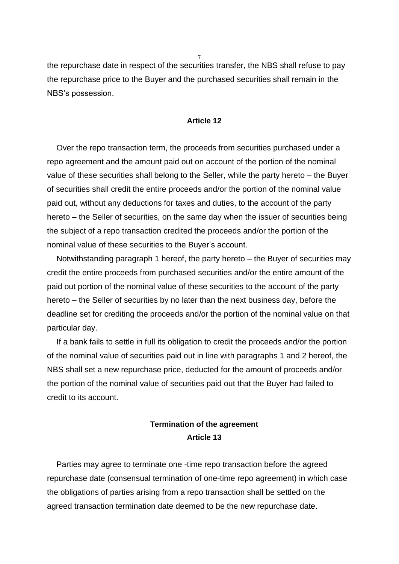the repurchase date in respect of the securities transfer, the NBS shall refuse to pay the repurchase price to the Buyer and the purchased securities shall remain in the NBS's possession.

#### **Article 12**

Over the repo transaction term, the proceeds from securities purchased under a repo agreement and the amount paid out on account of the portion of the nominal value of these securities shall belong to the Seller, while the party hereto – the Buyer of securities shall credit the entire proceeds and/or the portion of the nominal value paid out, without any deductions for taxes and duties, to the account of the party hereto – the Seller of securities, on the same day when the issuer of securities being the subject of a repo transaction credited the proceeds and/or the portion of the nominal value of these securities to the Buyer's account.

Notwithstanding paragraph 1 hereof, the party hereto – the Buyer of securities may credit the entire proceeds from purchased securities and/or the entire amount of the paid out portion of the nominal value of these securities to the account of the party hereto – the Seller of securities by no later than the next business day, before the deadline set for crediting the proceeds and/or the portion of the nominal value on that particular day.

If a bank fails to settle in full its obligation to credit the proceeds and/or the portion of the nominal value of securities paid out in line with paragraphs 1 and 2 hereof, the NBS shall set a new repurchase price, deducted for the amount of proceeds and/or the portion of the nominal value of securities paid out that the Buyer had failed to credit to its account.

# **Termination of the agreement Article 13**

Parties may agree to terminate one -time repo transaction before the agreed repurchase date (consensual termination of one-time repo agreement) in which case the obligations of parties arising from a repo transaction shall be settled on the agreed transaction termination date deemed to be the new repurchase date.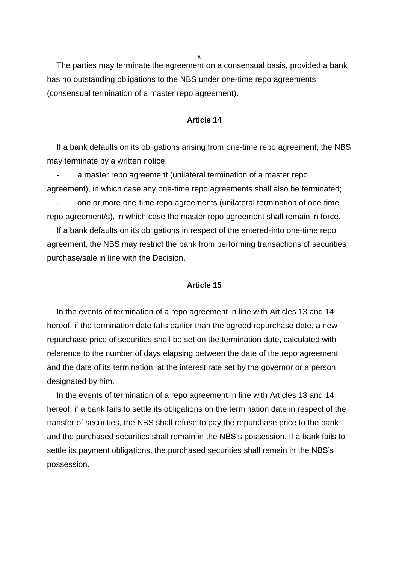8

The parties may terminate the agreement on a consensual basis, provided a bank has no outstanding obligations to the NBS under one-time repo agreements (consensual termination of a master repo agreement).

#### **Article 14**

If a bank defaults on its obligations arising from one-time repo agreement, the NBS may terminate by a written notice:

a master repo agreement (unilateral termination of a master repo agreement), in which case any one-time repo agreements shall also be terminated;

- one or more one-time repo agreements (unilateral termination of one-time repo agreement/s), in which case the master repo agreement shall remain in force.

If a bank defaults on its obligations in respect of the entered-into one-time repo agreement, the NBS may restrict the bank from performing transactions of securities purchase/sale in line with the Decision.

#### **Article 15**

In the events of termination of a repo agreement in line with Articles 13 and 14 hereof, if the termination date falls earlier than the agreed repurchase date, a new repurchase price of securities shall be set on the termination date, calculated with reference to the number of days elapsing between the date of the repo agreement and the date of its termination, at the interest rate set by the governor or a person designated by him.

In the events of termination of a repo agreement in line with Articles 13 and 14 hereof, if a bank fails to settle its obligations on the termination date in respect of the transfer of securities, the NBS shall refuse to pay the repurchase price to the bank and the purchased securities shall remain in the NBS'S possession. If a bank fails to settle its payment obligations, the purchased securities shall remain in the NBS's possession.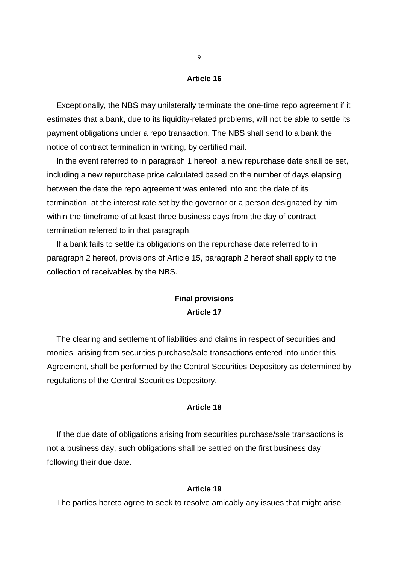#### **Article 16**

Exceptionally, the NBS may unilaterally terminate the one-time repo agreement if it estimates that a bank, due to its liquidity-related problems, will not be able to settle its payment obligations under a repo transaction. The NBS shall send to a bank the notice of contract termination in writing, by certified mail.

In the event referred to in paragraph 1 hereof, a new repurchase date shall be set, including a new repurchase price calculated based on the number of days elapsing between the date the repo agreement was entered into and the date of its termination, at the interest rate set by the governor or a person designated by him within the timeframe of at least three business days from the day of contract termination referred to in that paragraph.

If a bank fails to settle its obligations on the repurchase date referred to in paragraph 2 hereof, provisions of Article 15, paragraph 2 hereof shall apply to the collection of receivables by the NBS.

## **Final provisions Article 17**

The clearing and settlement of liabilities and claims in respect of securities and monies, arising from securities purchase/sale transactions entered into under this Agreement, shall be performed by the Central Securities Depository as determined by regulations of the Central Securities Depository.

### **Article 18**

If the due date of obligations arising from securities purchase/sale transactions is not a business day, such obligations shall be settled on the first business day following their due date.

#### **Article 19**

The parties hereto agree to seek to resolve amicably any issues that might arise